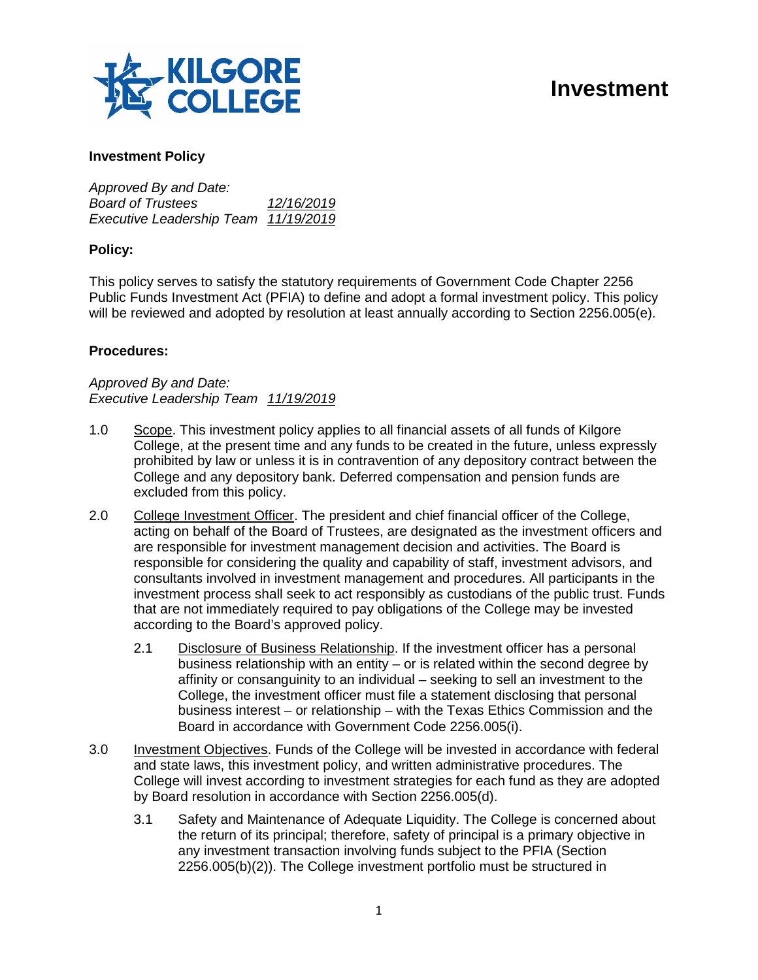

# **Investment**

### **Investment Policy**

*Approved By and Date: Board of Trustees 12/16/2019 Executive Leadership Team 11/19/2019*

### **Policy:**

This policy serves to satisfy the statutory requirements of Government Code Chapter 2256 Public Funds Investment Act (PFIA) to define and adopt a formal investment policy. This policy will be reviewed and adopted by resolution at least annually according to Section 2256.005(e).

### **Procedures:**

*Approved By and Date: Executive Leadership Team 11/19/2019*

- 1.0 Scope. This investment policy applies to all financial assets of all funds of Kilgore College, at the present time and any funds to be created in the future, unless expressly prohibited by law or unless it is in contravention of any depository contract between the College and any depository bank. Deferred compensation and pension funds are excluded from this policy.
- 2.0 College Investment Officer. The president and chief financial officer of the College, acting on behalf of the Board of Trustees, are designated as the investment officers and are responsible for investment management decision and activities. The Board is responsible for considering the quality and capability of staff, investment advisors, and consultants involved in investment management and procedures. All participants in the investment process shall seek to act responsibly as custodians of the public trust. Funds that are not immediately required to pay obligations of the College may be invested according to the Board's approved policy.
	- 2.1 Disclosure of Business Relationship. If the investment officer has a personal business relationship with an entity – or is related within the second degree by affinity or consanguinity to an individual – seeking to sell an investment to the College, the investment officer must file a statement disclosing that personal business interest – or relationship – with the Texas Ethics Commission and the Board in accordance with Government Code 2256.005(i).
- 3.0 Investment Objectives. Funds of the College will be invested in accordance with federal and state laws, this investment policy, and written administrative procedures. The College will invest according to investment strategies for each fund as they are adopted by Board resolution in accordance with Section 2256.005(d).
	- 3.1 Safety and Maintenance of Adequate Liquidity. The College is concerned about the return of its principal; therefore, safety of principal is a primary objective in any investment transaction involving funds subject to the PFIA (Section 2256.005(b)(2)). The College investment portfolio must be structured in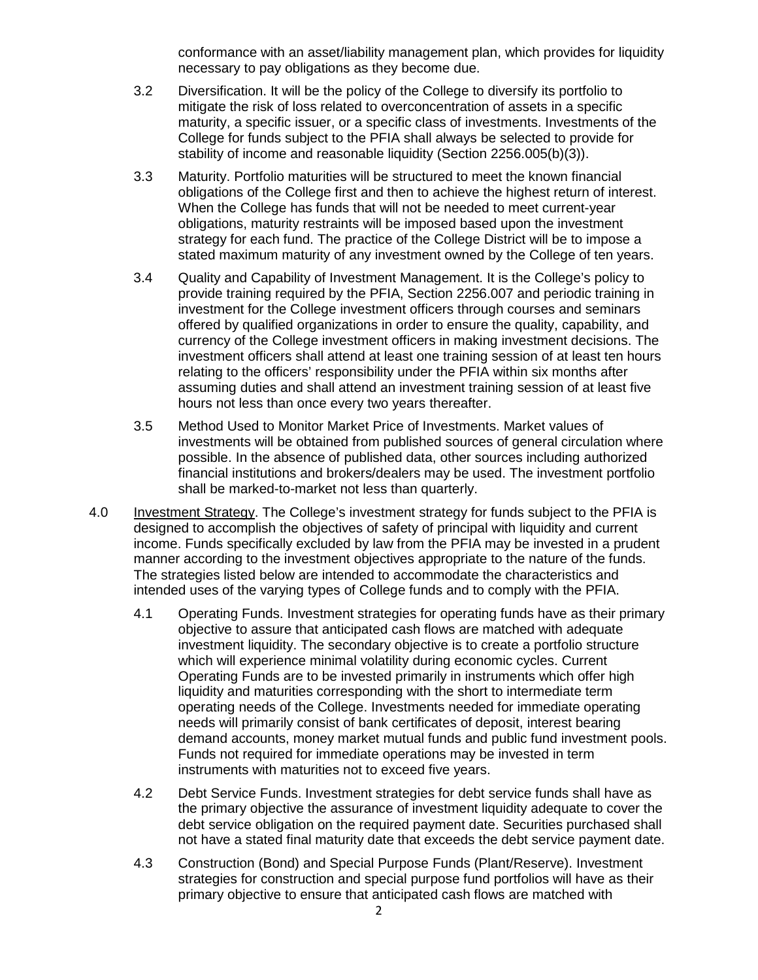conformance with an asset/liability management plan, which provides for liquidity necessary to pay obligations as they become due.

- 3.2 Diversification. It will be the policy of the College to diversify its portfolio to mitigate the risk of loss related to overconcentration of assets in a specific maturity, a specific issuer, or a specific class of investments. Investments of the College for funds subject to the PFIA shall always be selected to provide for stability of income and reasonable liquidity (Section 2256.005(b)(3)).
- 3.3 Maturity. Portfolio maturities will be structured to meet the known financial obligations of the College first and then to achieve the highest return of interest. When the College has funds that will not be needed to meet current-year obligations, maturity restraints will be imposed based upon the investment strategy for each fund. The practice of the College District will be to impose a stated maximum maturity of any investment owned by the College of ten years.
- 3.4 Quality and Capability of Investment Management. It is the College's policy to provide training required by the PFIA, Section 2256.007 and periodic training in investment for the College investment officers through courses and seminars offered by qualified organizations in order to ensure the quality, capability, and currency of the College investment officers in making investment decisions. The investment officers shall attend at least one training session of at least ten hours relating to the officers' responsibility under the PFIA within six months after assuming duties and shall attend an investment training session of at least five hours not less than once every two years thereafter.
- 3.5 Method Used to Monitor Market Price of Investments. Market values of investments will be obtained from published sources of general circulation where possible. In the absence of published data, other sources including authorized financial institutions and brokers/dealers may be used. The investment portfolio shall be marked-to-market not less than quarterly.
- 4.0 Investment Strategy. The College's investment strategy for funds subject to the PFIA is designed to accomplish the objectives of safety of principal with liquidity and current income. Funds specifically excluded by law from the PFIA may be invested in a prudent manner according to the investment objectives appropriate to the nature of the funds. The strategies listed below are intended to accommodate the characteristics and intended uses of the varying types of College funds and to comply with the PFIA.
	- 4.1 Operating Funds. Investment strategies for operating funds have as their primary objective to assure that anticipated cash flows are matched with adequate investment liquidity. The secondary objective is to create a portfolio structure which will experience minimal volatility during economic cycles. Current Operating Funds are to be invested primarily in instruments which offer high liquidity and maturities corresponding with the short to intermediate term operating needs of the College. Investments needed for immediate operating needs will primarily consist of bank certificates of deposit, interest bearing demand accounts, money market mutual funds and public fund investment pools. Funds not required for immediate operations may be invested in term instruments with maturities not to exceed five years.
	- 4.2 Debt Service Funds. Investment strategies for debt service funds shall have as the primary objective the assurance of investment liquidity adequate to cover the debt service obligation on the required payment date. Securities purchased shall not have a stated final maturity date that exceeds the debt service payment date.
	- 4.3 Construction (Bond) and Special Purpose Funds (Plant/Reserve). Investment strategies for construction and special purpose fund portfolios will have as their primary objective to ensure that anticipated cash flows are matched with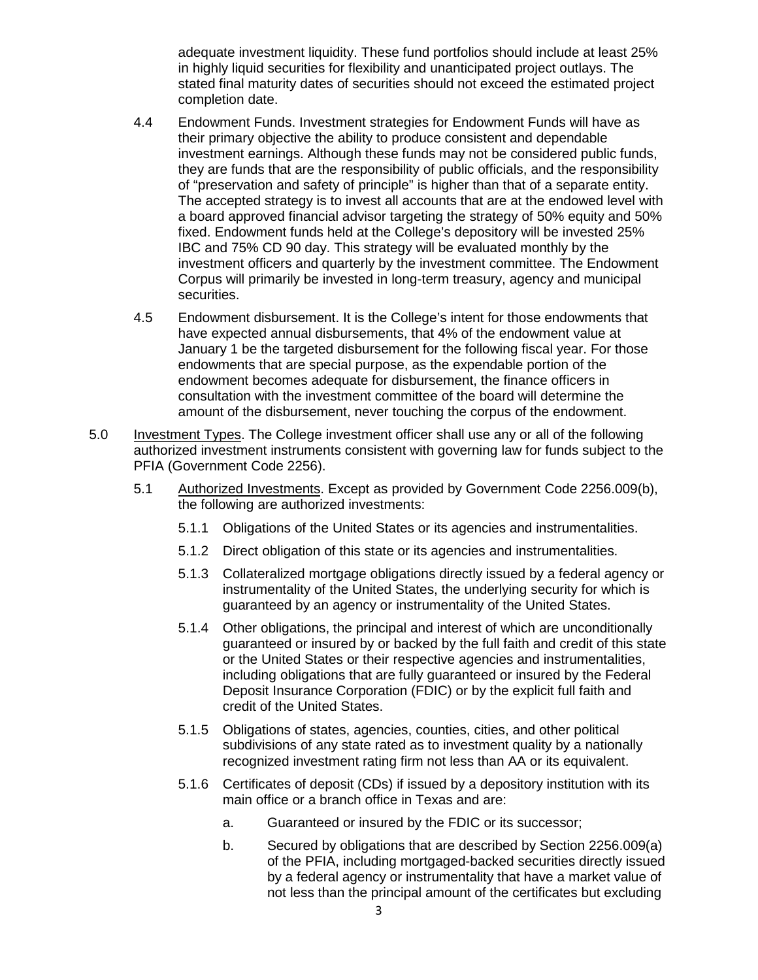adequate investment liquidity. These fund portfolios should include at least 25% in highly liquid securities for flexibility and unanticipated project outlays. The stated final maturity dates of securities should not exceed the estimated project completion date.

- 4.4 Endowment Funds. Investment strategies for Endowment Funds will have as their primary objective the ability to produce consistent and dependable investment earnings. Although these funds may not be considered public funds, they are funds that are the responsibility of public officials, and the responsibility of "preservation and safety of principle" is higher than that of a separate entity. The accepted strategy is to invest all accounts that are at the endowed level with a board approved financial advisor targeting the strategy of 50% equity and 50% fixed. Endowment funds held at the College's depository will be invested 25% IBC and 75% CD 90 day. This strategy will be evaluated monthly by the investment officers and quarterly by the investment committee. The Endowment Corpus will primarily be invested in long-term treasury, agency and municipal securities.
- 4.5 Endowment disbursement. It is the College's intent for those endowments that have expected annual disbursements, that 4% of the endowment value at January 1 be the targeted disbursement for the following fiscal year. For those endowments that are special purpose, as the expendable portion of the endowment becomes adequate for disbursement, the finance officers in consultation with the investment committee of the board will determine the amount of the disbursement, never touching the corpus of the endowment.
- 5.0 Investment Types. The College investment officer shall use any or all of the following authorized investment instruments consistent with governing law for funds subject to the PFIA (Government Code 2256).
	- 5.1 Authorized Investments. Except as provided by Government Code 2256.009(b), the following are authorized investments:
		- 5.1.1 Obligations of the United States or its agencies and instrumentalities.
		- 5.1.2 Direct obligation of this state or its agencies and instrumentalities.
		- 5.1.3 Collateralized mortgage obligations directly issued by a federal agency or instrumentality of the United States, the underlying security for which is guaranteed by an agency or instrumentality of the United States.
		- 5.1.4 Other obligations, the principal and interest of which are unconditionally guaranteed or insured by or backed by the full faith and credit of this state or the United States or their respective agencies and instrumentalities, including obligations that are fully guaranteed or insured by the Federal Deposit Insurance Corporation (FDIC) or by the explicit full faith and credit of the United States.
		- 5.1.5 Obligations of states, agencies, counties, cities, and other political subdivisions of any state rated as to investment quality by a nationally recognized investment rating firm not less than AA or its equivalent.
		- 5.1.6 Certificates of deposit (CDs) if issued by a depository institution with its main office or a branch office in Texas and are:
			- a. Guaranteed or insured by the FDIC or its successor;
			- b. Secured by obligations that are described by Section 2256.009(a) of the PFIA, including mortgaged-backed securities directly issued by a federal agency or instrumentality that have a market value of not less than the principal amount of the certificates but excluding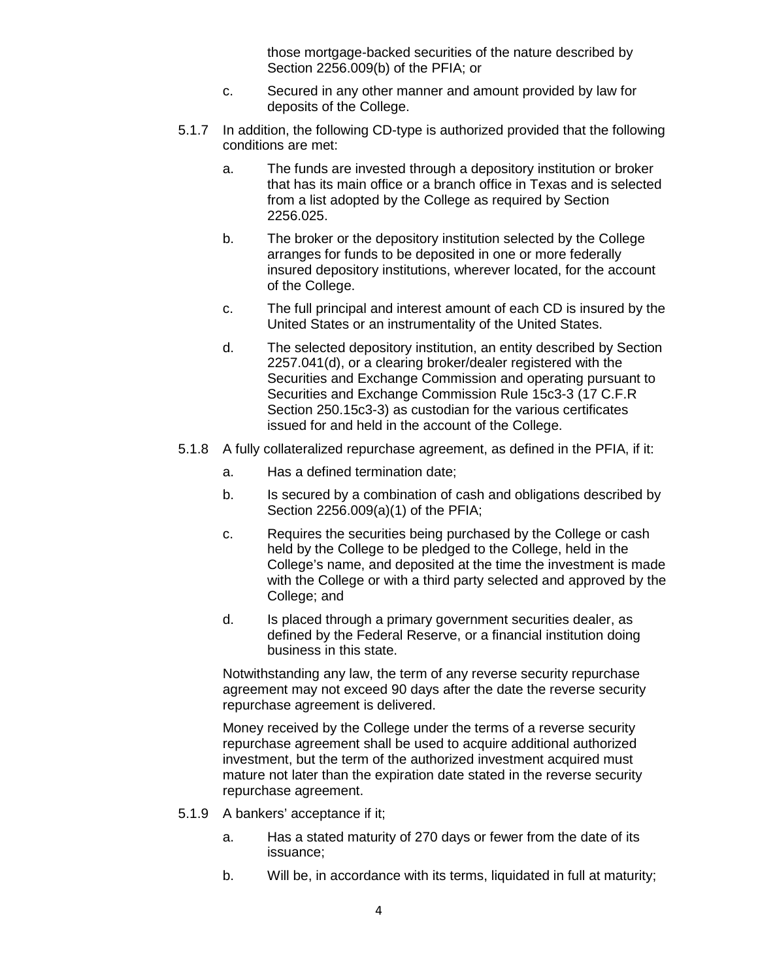those mortgage-backed securities of the nature described by Section 2256.009(b) of the PFIA; or

- c. Secured in any other manner and amount provided by law for deposits of the College.
- 5.1.7 In addition, the following CD-type is authorized provided that the following conditions are met:
	- a. The funds are invested through a depository institution or broker that has its main office or a branch office in Texas and is selected from a list adopted by the College as required by Section 2256.025.
	- b. The broker or the depository institution selected by the College arranges for funds to be deposited in one or more federally insured depository institutions, wherever located, for the account of the College.
	- c. The full principal and interest amount of each CD is insured by the United States or an instrumentality of the United States.
	- d. The selected depository institution, an entity described by Section 2257.041(d), or a clearing broker/dealer registered with the Securities and Exchange Commission and operating pursuant to Securities and Exchange Commission Rule 15c3-3 (17 C.F.R Section 250.15c3-3) as custodian for the various certificates issued for and held in the account of the College.
- 5.1.8 A fully collateralized repurchase agreement, as defined in the PFIA, if it:
	- a. Has a defined termination date;
	- b. Is secured by a combination of cash and obligations described by Section 2256.009(a)(1) of the PFIA;
	- c. Requires the securities being purchased by the College or cash held by the College to be pledged to the College, held in the College's name, and deposited at the time the investment is made with the College or with a third party selected and approved by the College; and
	- d. Is placed through a primary government securities dealer, as defined by the Federal Reserve, or a financial institution doing business in this state.

Notwithstanding any law, the term of any reverse security repurchase agreement may not exceed 90 days after the date the reverse security repurchase agreement is delivered.

Money received by the College under the terms of a reverse security repurchase agreement shall be used to acquire additional authorized investment, but the term of the authorized investment acquired must mature not later than the expiration date stated in the reverse security repurchase agreement.

- 5.1.9 A bankers' acceptance if it;
	- a. Has a stated maturity of 270 days or fewer from the date of its issuance;
	- b. Will be, in accordance with its terms, liquidated in full at maturity;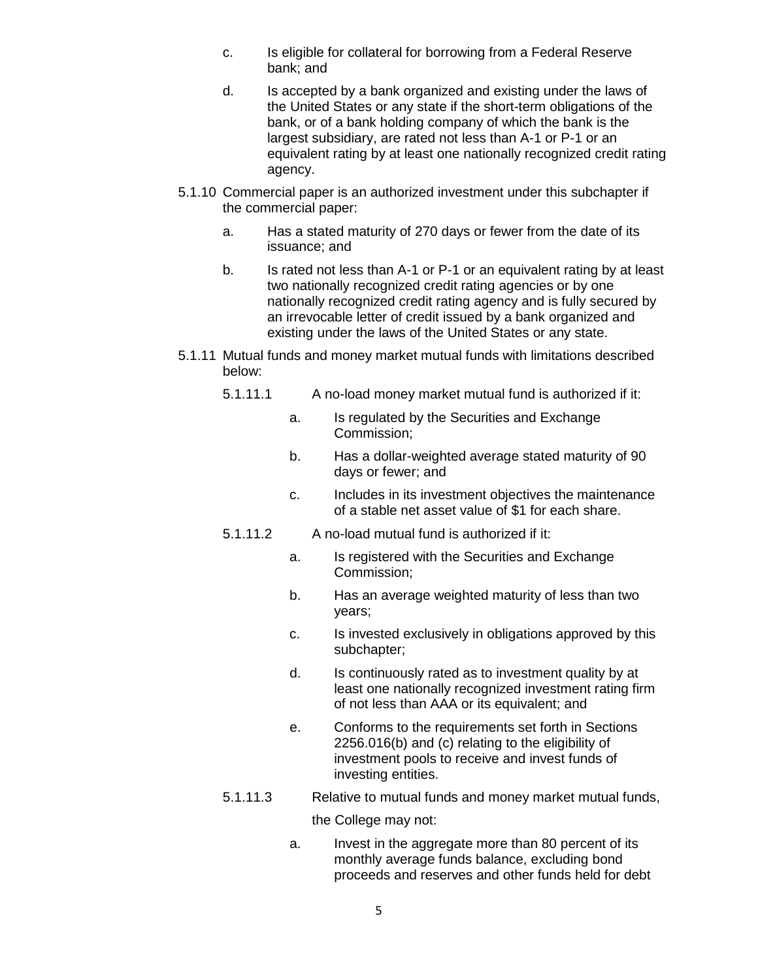- c. Is eligible for collateral for borrowing from a Federal Reserve bank; and
- d. Is accepted by a bank organized and existing under the laws of the United States or any state if the short-term obligations of the bank, or of a bank holding company of which the bank is the largest subsidiary, are rated not less than A-1 or P-1 or an equivalent rating by at least one nationally recognized credit rating agency.
- 5.1.10 Commercial paper is an authorized investment under this subchapter if the commercial paper:
	- a. Has a stated maturity of 270 days or fewer from the date of its issuance; and
	- b. Is rated not less than A-1 or P-1 or an equivalent rating by at least two nationally recognized credit rating agencies or by one nationally recognized credit rating agency and is fully secured by an irrevocable letter of credit issued by a bank organized and existing under the laws of the United States or any state.
- 5.1.11 Mutual funds and money market mutual funds with limitations described below:
	- 5.1.11.1 A no-load money market mutual fund is authorized if it:
		- a. Is regulated by the Securities and Exchange Commission;
		- b. Has a dollar-weighted average stated maturity of 90 days or fewer; and
		- c. Includes in its investment objectives the maintenance of a stable net asset value of \$1 for each share.
	- 5.1.11.2 A no-load mutual fund is authorized if it:
		- a. Is registered with the Securities and Exchange Commission;
		- b. Has an average weighted maturity of less than two years;
		- c. Is invested exclusively in obligations approved by this subchapter;
		- d. Is continuously rated as to investment quality by at least one nationally recognized investment rating firm of not less than AAA or its equivalent; and
		- e. Conforms to the requirements set forth in Sections 2256.016(b) and (c) relating to the eligibility of investment pools to receive and invest funds of investing entities.

## 5.1.11.3 Relative to mutual funds and money market mutual funds,

the College may not:

a. Invest in the aggregate more than 80 percent of its monthly average funds balance, excluding bond proceeds and reserves and other funds held for debt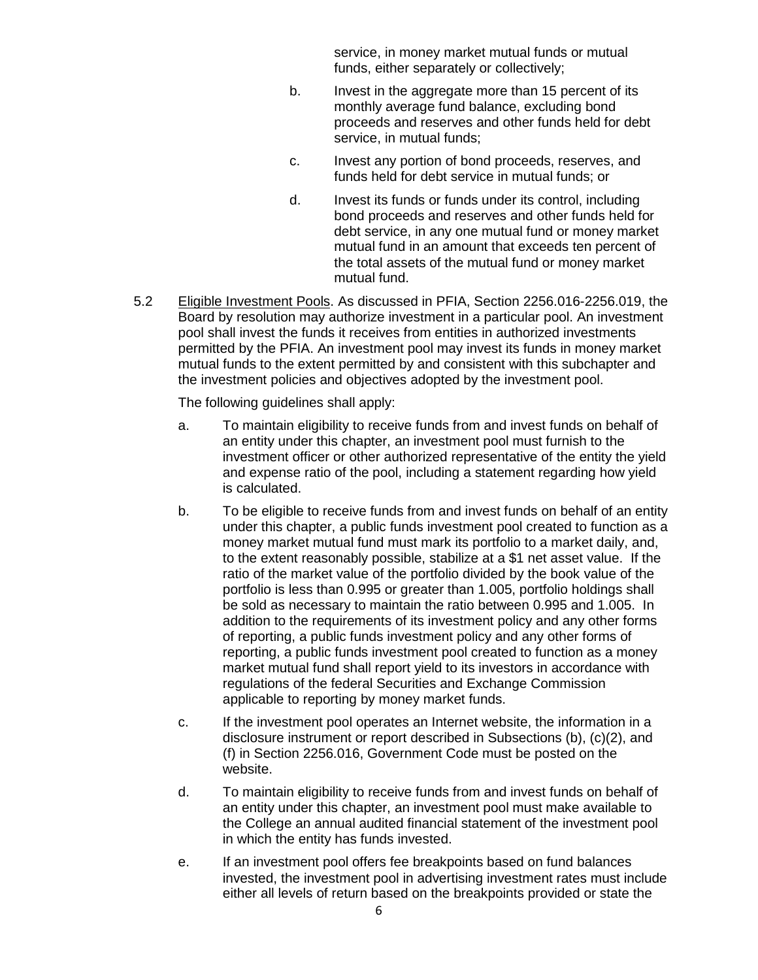service, in money market mutual funds or mutual funds, either separately or collectively;

- b. Invest in the aggregate more than 15 percent of its monthly average fund balance, excluding bond proceeds and reserves and other funds held for debt service, in mutual funds;
- c. Invest any portion of bond proceeds, reserves, and funds held for debt service in mutual funds; or
- d. Invest its funds or funds under its control, including bond proceeds and reserves and other funds held for debt service, in any one mutual fund or money market mutual fund in an amount that exceeds ten percent of the total assets of the mutual fund or money market mutual fund.
- 5.2 Eligible Investment Pools. As discussed in PFIA, Section 2256.016-2256.019, the Board by resolution may authorize investment in a particular pool. An investment pool shall invest the funds it receives from entities in authorized investments permitted by the PFIA. An investment pool may invest its funds in money market mutual funds to the extent permitted by and consistent with this subchapter and the investment policies and objectives adopted by the investment pool.

The following guidelines shall apply:

- a. To maintain eligibility to receive funds from and invest funds on behalf of an entity under this chapter, an investment pool must furnish to the investment officer or other authorized representative of the entity the yield and expense ratio of the pool, including a statement regarding how yield is calculated.
- b. To be eligible to receive funds from and invest funds on behalf of an entity under this chapter, a public funds investment pool created to function as a money market mutual fund must mark its portfolio to a market daily, and, to the extent reasonably possible, stabilize at a \$1 net asset value. If the ratio of the market value of the portfolio divided by the book value of the portfolio is less than 0.995 or greater than 1.005, portfolio holdings shall be sold as necessary to maintain the ratio between 0.995 and 1.005. In addition to the requirements of its investment policy and any other forms of reporting, a public funds investment policy and any other forms of reporting, a public funds investment pool created to function as a money market mutual fund shall report yield to its investors in accordance with regulations of the federal Securities and Exchange Commission applicable to reporting by money market funds.
- c. If the investment pool operates an Internet website, the information in a disclosure instrument or report described in Subsections (b), (c)(2), and (f) in Section 2256.016, Government Code must be posted on the website.
- d. To maintain eligibility to receive funds from and invest funds on behalf of an entity under this chapter, an investment pool must make available to the College an annual audited financial statement of the investment pool in which the entity has funds invested.
- e. If an investment pool offers fee breakpoints based on fund balances invested, the investment pool in advertising investment rates must include either all levels of return based on the breakpoints provided or state the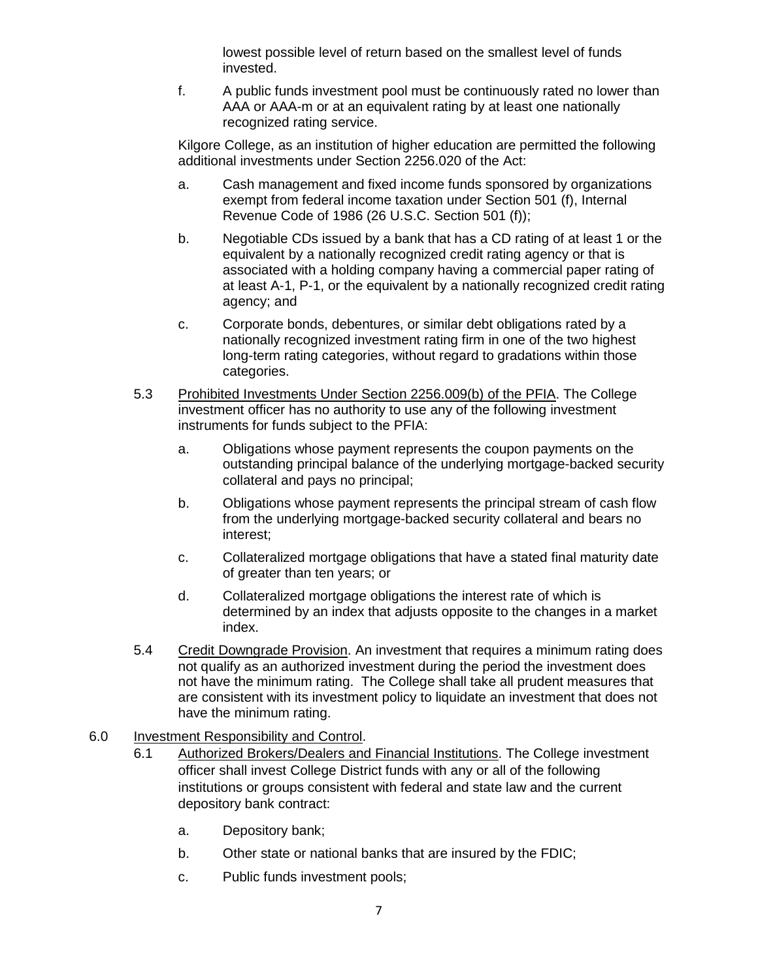lowest possible level of return based on the smallest level of funds invested.

f. A public funds investment pool must be continuously rated no lower than AAA or AAA-m or at an equivalent rating by at least one nationally recognized rating service.

Kilgore College, as an institution of higher education are permitted the following additional investments under Section 2256.020 of the Act:

- a. Cash management and fixed income funds sponsored by organizations exempt from federal income taxation under Section 501 (f), Internal Revenue Code of 1986 (26 U.S.C. Section 501 (f));
- b. Negotiable CDs issued by a bank that has a CD rating of at least 1 or the equivalent by a nationally recognized credit rating agency or that is associated with a holding company having a commercial paper rating of at least A-1, P-1, or the equivalent by a nationally recognized credit rating agency; and
- c. Corporate bonds, debentures, or similar debt obligations rated by a nationally recognized investment rating firm in one of the two highest long-term rating categories, without regard to gradations within those categories.
- 5.3 Prohibited Investments Under Section 2256.009(b) of the PFIA. The College investment officer has no authority to use any of the following investment instruments for funds subject to the PFIA:
	- a. Obligations whose payment represents the coupon payments on the outstanding principal balance of the underlying mortgage-backed security collateral and pays no principal;
	- b. Obligations whose payment represents the principal stream of cash flow from the underlying mortgage-backed security collateral and bears no interest;
	- c. Collateralized mortgage obligations that have a stated final maturity date of greater than ten years; or
	- d. Collateralized mortgage obligations the interest rate of which is determined by an index that adjusts opposite to the changes in a market index.
- 5.4 Credit Downgrade Provision. An investment that requires a minimum rating does not qualify as an authorized investment during the period the investment does not have the minimum rating. The College shall take all prudent measures that are consistent with its investment policy to liquidate an investment that does not have the minimum rating.
- 6.0 Investment Responsibility and Control.
	- 6.1 Authorized Brokers/Dealers and Financial Institutions. The College investment officer shall invest College District funds with any or all of the following institutions or groups consistent with federal and state law and the current depository bank contract:
		- a. Depository bank;
		- b. Other state or national banks that are insured by the FDIC;
		- c. Public funds investment pools;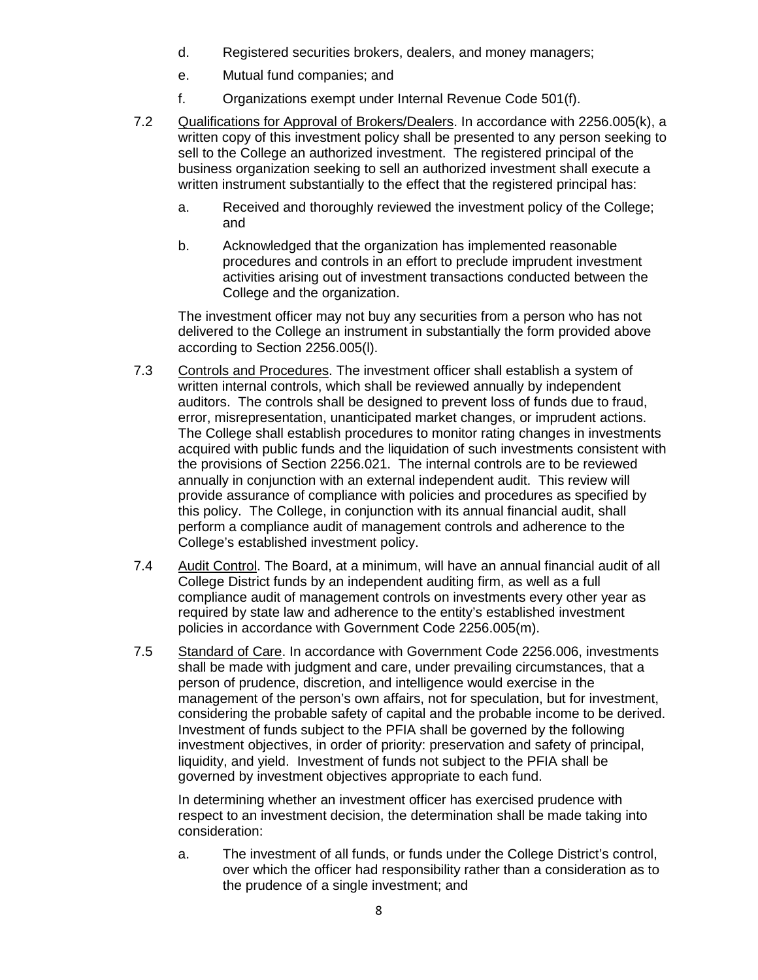- d. Registered securities brokers, dealers, and money managers;
- e. Mutual fund companies; and
- f. Organizations exempt under Internal Revenue Code 501(f).
- 7.2 Qualifications for Approval of Brokers/Dealers. In accordance with 2256.005(k), a written copy of this investment policy shall be presented to any person seeking to sell to the College an authorized investment. The registered principal of the business organization seeking to sell an authorized investment shall execute a written instrument substantially to the effect that the registered principal has:
	- a. Received and thoroughly reviewed the investment policy of the College; and
	- b. Acknowledged that the organization has implemented reasonable procedures and controls in an effort to preclude imprudent investment activities arising out of investment transactions conducted between the College and the organization.

The investment officer may not buy any securities from a person who has not delivered to the College an instrument in substantially the form provided above according to Section 2256.005(l).

- 7.3 Controls and Procedures. The investment officer shall establish a system of written internal controls, which shall be reviewed annually by independent auditors. The controls shall be designed to prevent loss of funds due to fraud, error, misrepresentation, unanticipated market changes, or imprudent actions. The College shall establish procedures to monitor rating changes in investments acquired with public funds and the liquidation of such investments consistent with the provisions of Section 2256.021. The internal controls are to be reviewed annually in conjunction with an external independent audit. This review will provide assurance of compliance with policies and procedures as specified by this policy. The College, in conjunction with its annual financial audit, shall perform a compliance audit of management controls and adherence to the College's established investment policy.
- 7.4 Audit Control. The Board, at a minimum, will have an annual financial audit of all College District funds by an independent auditing firm, as well as a full compliance audit of management controls on investments every other year as required by state law and adherence to the entity's established investment policies in accordance with Government Code 2256.005(m).
- 7.5 Standard of Care. In accordance with Government Code 2256.006, investments shall be made with judgment and care, under prevailing circumstances, that a person of prudence, discretion, and intelligence would exercise in the management of the person's own affairs, not for speculation, but for investment, considering the probable safety of capital and the probable income to be derived. Investment of funds subject to the PFIA shall be governed by the following investment objectives, in order of priority: preservation and safety of principal, liquidity, and yield. Investment of funds not subject to the PFIA shall be governed by investment objectives appropriate to each fund.

In determining whether an investment officer has exercised prudence with respect to an investment decision, the determination shall be made taking into consideration:

a. The investment of all funds, or funds under the College District's control, over which the officer had responsibility rather than a consideration as to the prudence of a single investment; and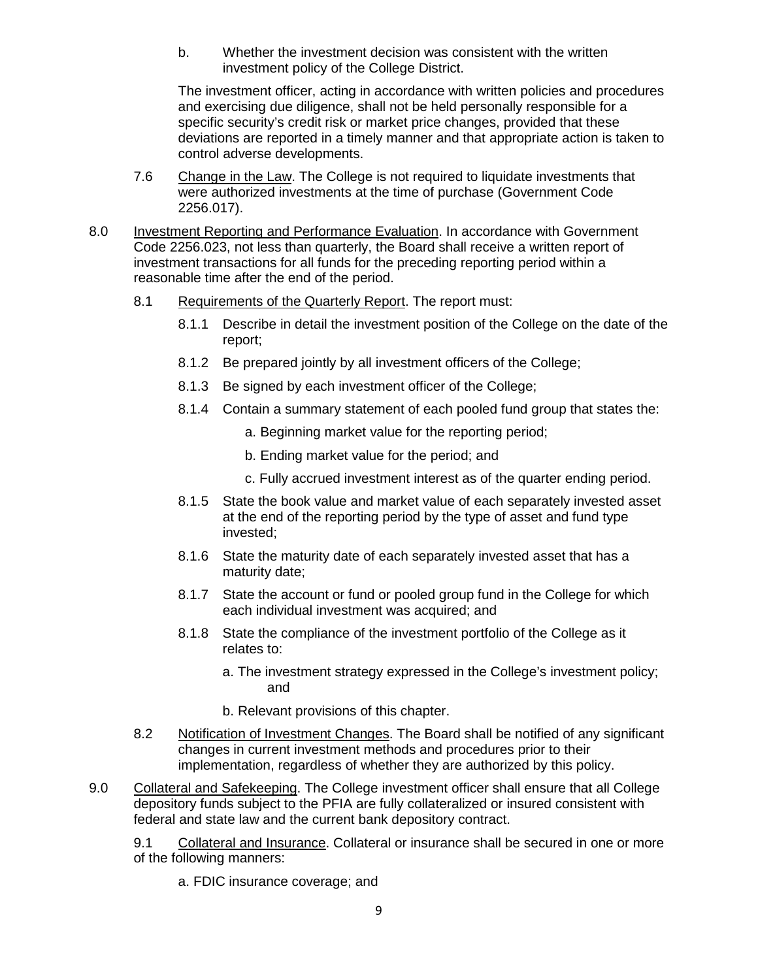b. Whether the investment decision was consistent with the written investment policy of the College District.

The investment officer, acting in accordance with written policies and procedures and exercising due diligence, shall not be held personally responsible for a specific security's credit risk or market price changes, provided that these deviations are reported in a timely manner and that appropriate action is taken to control adverse developments.

- 7.6 Change in the Law. The College is not required to liquidate investments that were authorized investments at the time of purchase (Government Code 2256.017).
- 8.0 Investment Reporting and Performance Evaluation. In accordance with Government Code 2256.023, not less than quarterly, the Board shall receive a written report of investment transactions for all funds for the preceding reporting period within a reasonable time after the end of the period.
	- 8.1 Requirements of the Quarterly Report. The report must:
		- 8.1.1 Describe in detail the investment position of the College on the date of the report;
		- 8.1.2 Be prepared jointly by all investment officers of the College:
		- 8.1.3 Be signed by each investment officer of the College;
		- 8.1.4 Contain a summary statement of each pooled fund group that states the:
			- a. Beginning market value for the reporting period;
			- b. Ending market value for the period; and
			- c. Fully accrued investment interest as of the quarter ending period.
		- 8.1.5 State the book value and market value of each separately invested asset at the end of the reporting period by the type of asset and fund type invested;
		- 8.1.6 State the maturity date of each separately invested asset that has a maturity date;
		- 8.1.7 State the account or fund or pooled group fund in the College for which each individual investment was acquired; and
		- 8.1.8 State the compliance of the investment portfolio of the College as it relates to:
			- a. The investment strategy expressed in the College's investment policy; and
			- b. Relevant provisions of this chapter.
	- 8.2 Notification of Investment Changes. The Board shall be notified of any significant changes in current investment methods and procedures prior to their implementation, regardless of whether they are authorized by this policy.
- 9.0 Collateral and Safekeeping. The College investment officer shall ensure that all College depository funds subject to the PFIA are fully collateralized or insured consistent with federal and state law and the current bank depository contract.

9.1 Collateral and Insurance. Collateral or insurance shall be secured in one or more of the following manners:

a. FDIC insurance coverage; and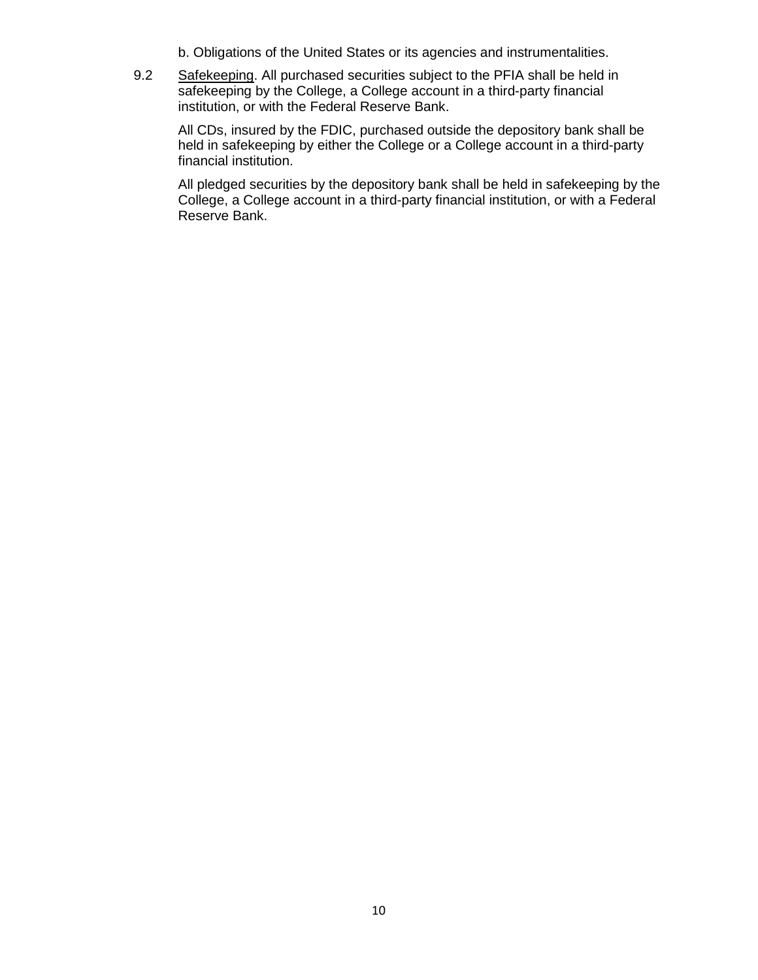- b. Obligations of the United States or its agencies and instrumentalities.
- 9.2 Safekeeping. All purchased securities subject to the PFIA shall be held in safekeeping by the College, a College account in a third-party financial institution, or with the Federal Reserve Bank.

All CDs, insured by the FDIC, purchased outside the depository bank shall be held in safekeeping by either the College or a College account in a third-party financial institution.

All pledged securities by the depository bank shall be held in safekeeping by the College, a College account in a third-party financial institution, or with a Federal Reserve Bank.